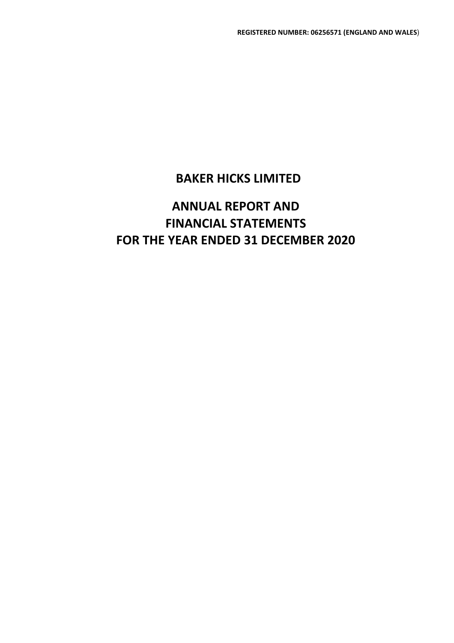# ANNUAL REPORT AND FINANCIAL STATEMENTS FOR THE YEAR ENDED 31 DECEMBER 2020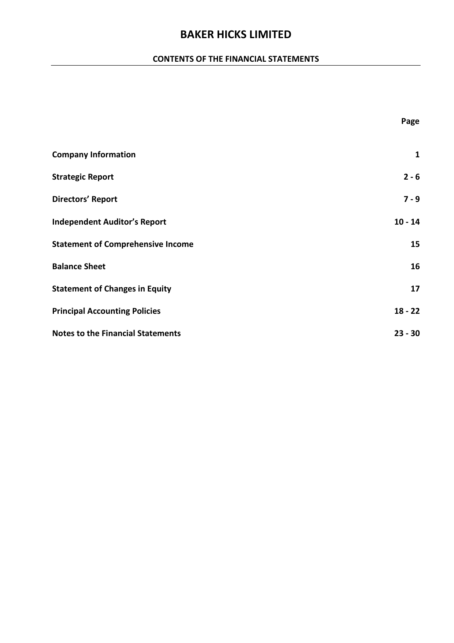## CONTENTS OF THE FINANCIAL STATEMENTS

|                                          | Page         |
|------------------------------------------|--------------|
| <b>Company Information</b>               | $\mathbf{1}$ |
| <b>Strategic Report</b>                  | $2 - 6$      |
| <b>Directors' Report</b>                 | $7 - 9$      |
| <b>Independent Auditor's Report</b>      | $10 - 14$    |
| <b>Statement of Comprehensive Income</b> | 15           |
| <b>Balance Sheet</b>                     | 16           |
| <b>Statement of Changes in Equity</b>    | 17           |
| <b>Principal Accounting Policies</b>     | $18 - 22$    |
| <b>Notes to the Financial Statements</b> | $23 - 30$    |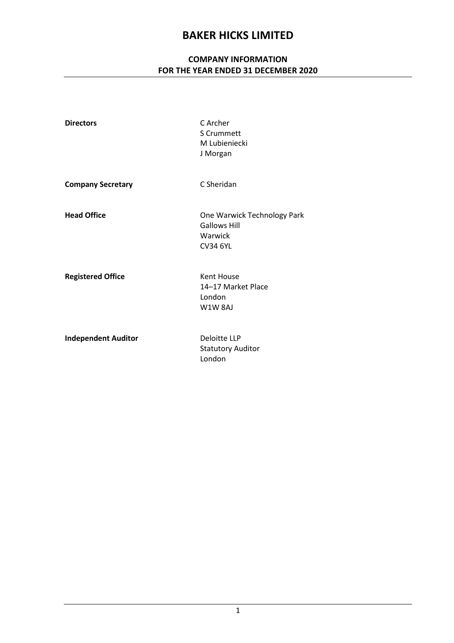## COMPANY INFORMATION FOR THE YEAR ENDED 31 DECEMBER 2020

| <b>Directors</b>           | C Archer<br><b>S</b> Crummett<br>M Lubieniecki<br>J Morgan                       |
|----------------------------|----------------------------------------------------------------------------------|
| <b>Company Secretary</b>   | C Sheridan                                                                       |
| <b>Head Office</b>         | One Warwick Technology Park<br><b>Gallows Hill</b><br>Warwick<br><b>CV34 6YL</b> |
| <b>Registered Office</b>   | Kent House<br>14-17 Market Place<br>London<br><b>W1W8AJ</b>                      |
| <b>Independent Auditor</b> | Deloitte LLP<br><b>Statutory Auditor</b><br>London                               |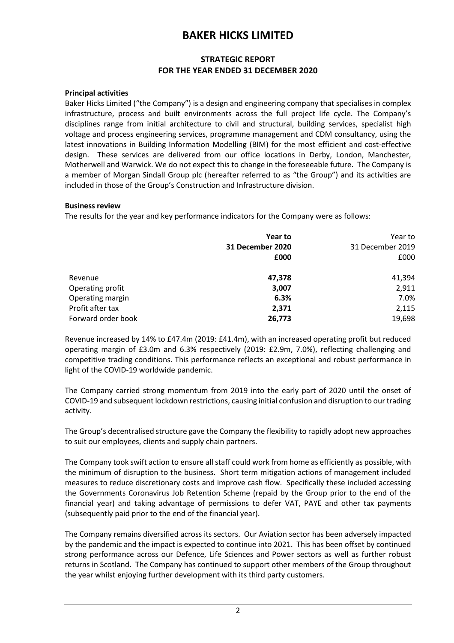### STRATEGIC REPORT FOR THE YEAR ENDED 31 DECEMBER 2020

#### Principal activities

Baker Hicks Limited ("the Company") is a design and engineering company that specialises in complex infrastructure, process and built environments across the full project life cycle. The Company's disciplines range from initial architecture to civil and structural, building services, specialist high voltage and process engineering services, programme management and CDM consultancy, using the latest innovations in Building Information Modelling (BIM) for the most efficient and cost-effective design. These services are delivered from our office locations in Derby, London, Manchester, Motherwell and Warwick. We do not expect this to change in the foreseeable future. The Company is a member of Morgan Sindall Group plc (hereafter referred to as "the Group") and its activities are included in those of the Group's Construction and Infrastructure division.

#### Business review

The results for the year and key performance indicators for the Company were as follows:

|                    | Year to<br>31 December 2020<br>£000 | Year to<br>31 December 2019<br>£000 |
|--------------------|-------------------------------------|-------------------------------------|
| Revenue            | 47,378                              | 41,394                              |
| Operating profit   | 3,007                               | 2,911                               |
| Operating margin   | 6.3%                                | 7.0%                                |
| Profit after tax   | 2,371                               | 2,115                               |
| Forward order book | 26,773                              | 19,698                              |

Revenue increased by 14% to £47.4m (2019: £41.4m), with an increased operating profit but reduced operating margin of £3.0m and 6.3% respectively (2019: £2.9m, 7.0%), reflecting challenging and competitive trading conditions. This performance reflects an exceptional and robust performance in light of the COVID-19 worldwide pandemic.

The Company carried strong momentum from 2019 into the early part of 2020 until the onset of COVID-19 and subsequent lockdown restrictions, causing initial confusion and disruption to our trading activity.

The Group's decentralised structure gave the Company the flexibility to rapidly adopt new approaches to suit our employees, clients and supply chain partners.

The Company took swift action to ensure all staff could work from home as efficiently as possible, with the minimum of disruption to the business. Short term mitigation actions of management included measures to reduce discretionary costs and improve cash flow. Specifically these included accessing the Governments Coronavirus Job Retention Scheme (repaid by the Group prior to the end of the financial year) and taking advantage of permissions to defer VAT, PAYE and other tax payments (subsequently paid prior to the end of the financial year).

The Company remains diversified across its sectors. Our Aviation sector has been adversely impacted by the pandemic and the impact is expected to continue into 2021. This has been offset by continued strong performance across our Defence, Life Sciences and Power sectors as well as further robust returns in Scotland. The Company has continued to support other members of the Group throughout the year whilst enjoying further development with its third party customers.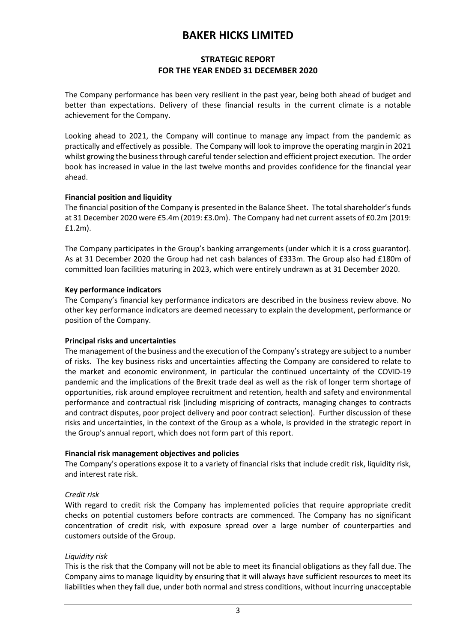## STRATEGIC REPORT FOR THE YEAR ENDED 31 DECEMBER 2020

The Company performance has been very resilient in the past year, being both ahead of budget and better than expectations. Delivery of these financial results in the current climate is a notable achievement for the Company.

Looking ahead to 2021, the Company will continue to manage any impact from the pandemic as practically and effectively as possible. The Company will look to improve the operating margin in 2021 whilst growing the business through careful tender selection and efficient project execution. The order book has increased in value in the last twelve months and provides confidence for the financial year ahead.

### Financial position and liquidity

The financial position of the Company is presented in the Balance Sheet. The total shareholder's funds at 31 December 2020 were £5.4m (2019: £3.0m). The Company had net current assets of £0.2m (2019: £1.2m).

The Company participates in the Group's banking arrangements (under which it is a cross guarantor). As at 31 December 2020 the Group had net cash balances of £333m. The Group also had £180m of committed loan facilities maturing in 2023, which were entirely undrawn as at 31 December 2020.

## Key performance indicators

The Company's financial key performance indicators are described in the business review above. No other key performance indicators are deemed necessary to explain the development, performance or position of the Company.

### Principal risks and uncertainties

The management of the business and the execution of the Company's strategy are subject to a number of risks. The key business risks and uncertainties affecting the Company are considered to relate to the market and economic environment, in particular the continued uncertainty of the COVID-19 pandemic and the implications of the Brexit trade deal as well as the risk of longer term shortage of opportunities, risk around employee recruitment and retention, health and safety and environmental performance and contractual risk (including mispricing of contracts, managing changes to contracts and contract disputes, poor project delivery and poor contract selection). Further discussion of these risks and uncertainties, in the context of the Group as a whole, is provided in the strategic report in the Group's annual report, which does not form part of this report.

### Financial risk management objectives and policies

The Company's operations expose it to a variety of financial risks that include credit risk, liquidity risk, and interest rate risk.

## Credit risk

With regard to credit risk the Company has implemented policies that require appropriate credit checks on potential customers before contracts are commenced. The Company has no significant concentration of credit risk, with exposure spread over a large number of counterparties and customers outside of the Group.

### Liquidity risk

This is the risk that the Company will not be able to meet its financial obligations as they fall due. The Company aims to manage liquidity by ensuring that it will always have sufficient resources to meet its liabilities when they fall due, under both normal and stress conditions, without incurring unacceptable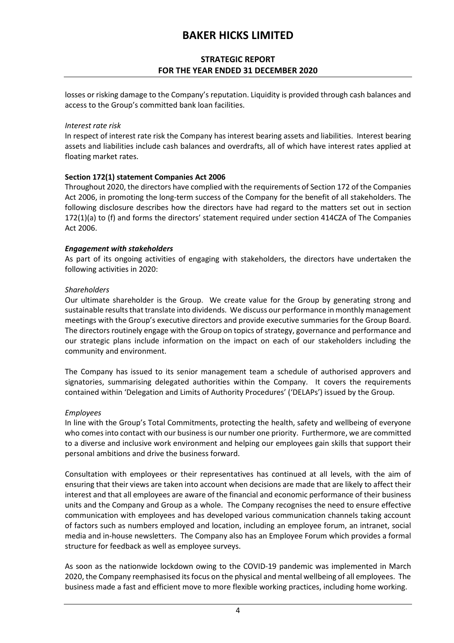## STRATEGIC REPORT FOR THE YEAR ENDED 31 DECEMBER 2020

losses or risking damage to the Company's reputation. Liquidity is provided through cash balances and access to the Group's committed bank loan facilities.

### Interest rate risk

In respect of interest rate risk the Company has interest bearing assets and liabilities. Interest bearing assets and liabilities include cash balances and overdrafts, all of which have interest rates applied at floating market rates.

### Section 172(1) statement Companies Act 2006

Throughout 2020, the directors have complied with the requirements of Section 172 of the Companies Act 2006, in promoting the long-term success of the Company for the benefit of all stakeholders. The following disclosure describes how the directors have had regard to the matters set out in section 172(1)(a) to (f) and forms the directors' statement required under section 414CZA of The Companies Act 2006.

### Engagement with stakeholders

As part of its ongoing activities of engaging with stakeholders, the directors have undertaken the following activities in 2020:

### **Shareholders**

Our ultimate shareholder is the Group. We create value for the Group by generating strong and sustainable results that translate into dividends. We discuss our performance in monthly management meetings with the Group's executive directors and provide executive summaries for the Group Board. The directors routinely engage with the Group on topics of strategy, governance and performance and our strategic plans include information on the impact on each of our stakeholders including the community and environment.

The Company has issued to its senior management team a schedule of authorised approvers and signatories, summarising delegated authorities within the Company. It covers the requirements contained within 'Delegation and Limits of Authority Procedures' ('DELAPs') issued by the Group.

### Employees

In line with the Group's Total Commitments, protecting the health, safety and wellbeing of everyone who comes into contact with our business is our number one priority. Furthermore, we are committed to a diverse and inclusive work environment and helping our employees gain skills that support their personal ambitions and drive the business forward.

Consultation with employees or their representatives has continued at all levels, with the aim of ensuring that their views are taken into account when decisions are made that are likely to affect their interest and that all employees are aware of the financial and economic performance of their business units and the Company and Group as a whole. The Company recognises the need to ensure effective communication with employees and has developed various communication channels taking account of factors such as numbers employed and location, including an employee forum, an intranet, social media and in-house newsletters. The Company also has an Employee Forum which provides a formal structure for feedback as well as employee surveys.

As soon as the nationwide lockdown owing to the COVID-19 pandemic was implemented in March 2020, the Company reemphasised its focus on the physical and mental wellbeing of all employees. The business made a fast and efficient move to more flexible working practices, including home working.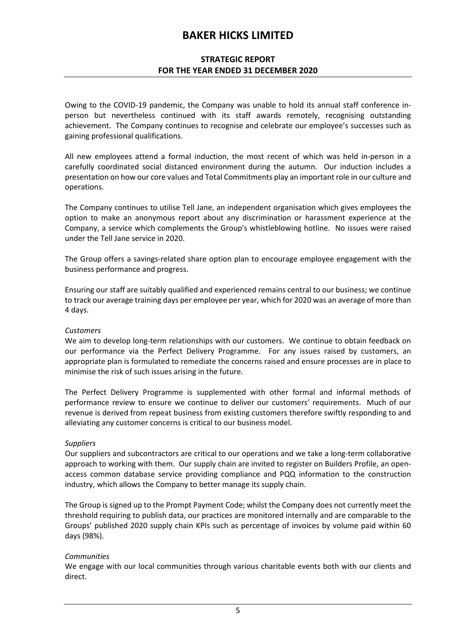## STRATEGIC REPORT FOR THE YEAR ENDED 31 DECEMBER 2020

Owing to the COVID-19 pandemic, the Company was unable to hold its annual staff conference inperson but nevertheless continued with its staff awards remotely, recognising outstanding achievement. The Company continues to recognise and celebrate our employee's successes such as gaining professional qualifications.

All new employees attend a formal induction, the most recent of which was held in-person in a carefully coordinated social distanced environment during the autumn. Our induction includes a presentation on how our core values and Total Commitments play an important role in our culture and operations.

The Company continues to utilise Tell Jane, an independent organisation which gives employees the option to make an anonymous report about any discrimination or harassment experience at the Company, a service which complements the Group's whistleblowing hotline. No issues were raised under the Tell Jane service in 2020.

The Group offers a savings-related share option plan to encourage employee engagement with the business performance and progress.

Ensuring our staff are suitably qualified and experienced remains central to our business; we continue to track our average training days per employee per year, which for 2020 was an average of more than 4 days.

### **Customers**

We aim to develop long-term relationships with our customers. We continue to obtain feedback on our performance via the Perfect Delivery Programme. For any issues raised by customers, an appropriate plan is formulated to remediate the concerns raised and ensure processes are in place to minimise the risk of such issues arising in the future.

The Perfect Delivery Programme is supplemented with other formal and informal methods of performance review to ensure we continue to deliver our customers' requirements. Much of our revenue is derived from repeat business from existing customers therefore swiftly responding to and alleviating any customer concerns is critical to our business model.

#### **Suppliers**

Our suppliers and subcontractors are critical to our operations and we take a long-term collaborative approach to working with them. Our supply chain are invited to register on Builders Profile, an openaccess common database service providing compliance and PQQ information to the construction industry, which allows the Company to better manage its supply chain.

The Group is signed up to the Prompt Payment Code; whilst the Company does not currently meet the threshold requiring to publish data, our practices are monitored internally and are comparable to the Groups' published 2020 supply chain KPIs such as percentage of invoices by volume paid within 60 days (98%).

### Communities

We engage with our local communities through various charitable events both with our clients and direct.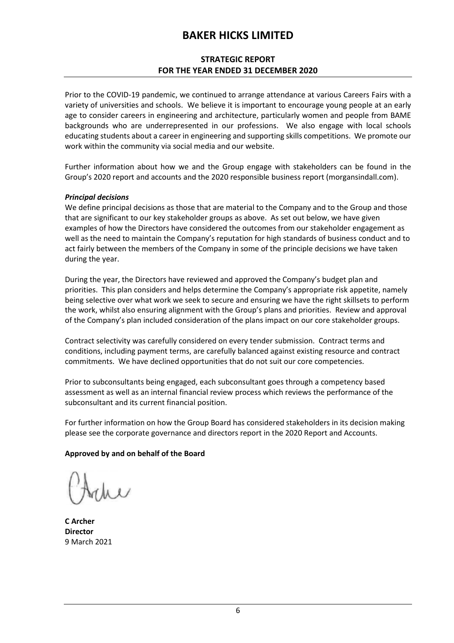## STRATEGIC REPORT FOR THE YEAR ENDED 31 DECEMBER 2020

Prior to the COVID-19 pandemic, we continued to arrange attendance at various Careers Fairs with a variety of universities and schools. We believe it is important to encourage young people at an early age to consider careers in engineering and architecture, particularly women and people from BAME backgrounds who are underrepresented in our professions. We also engage with local schools educating students about a career in engineering and supporting skills competitions. We promote our work within the community via social media and our website.

Further information about how we and the Group engage with stakeholders can be found in the Group's 2020 report and accounts and the 2020 responsible business report (morgansindall.com).

#### Principal decisions

We define principal decisions as those that are material to the Company and to the Group and those that are significant to our key stakeholder groups as above. As set out below, we have given examples of how the Directors have considered the outcomes from our stakeholder engagement as well as the need to maintain the Company's reputation for high standards of business conduct and to act fairly between the members of the Company in some of the principle decisions we have taken during the year.

During the year, the Directors have reviewed and approved the Company's budget plan and priorities. This plan considers and helps determine the Company's appropriate risk appetite, namely being selective over what work we seek to secure and ensuring we have the right skillsets to perform the work, whilst also ensuring alignment with the Group's plans and priorities. Review and approval of the Company's plan included consideration of the plans impact on our core stakeholder groups.

Contract selectivity was carefully considered on every tender submission. Contract terms and conditions, including payment terms, are carefully balanced against existing resource and contract commitments. We have declined opportunities that do not suit our core competencies.

Prior to subconsultants being engaged, each subconsultant goes through a competency based assessment as well as an internal financial review process which reviews the performance of the subconsultant and its current financial position.

For further information on how the Group Board has considered stakeholders in its decision making please see the corporate governance and directors report in the 2020 Report and Accounts.

### Approved by and on behalf of the Board

C Archer **Director** 9 March 2021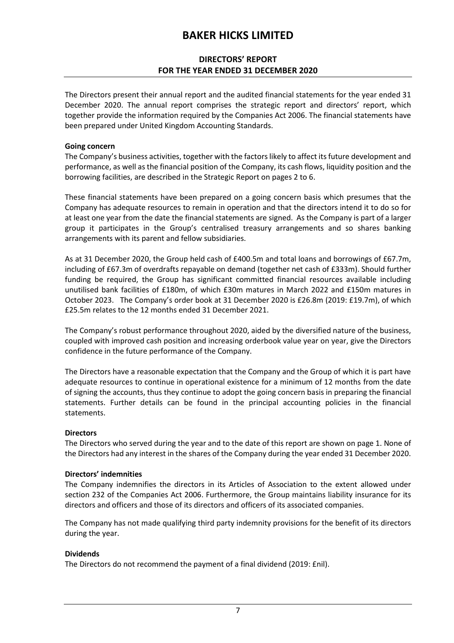## DIRECTORS' REPORT FOR THE YEAR ENDED 31 DECEMBER 2020

The Directors present their annual report and the audited financial statements for the year ended 31 December 2020. The annual report comprises the strategic report and directors' report, which together provide the information required by the Companies Act 2006. The financial statements have been prepared under United Kingdom Accounting Standards.

### Going concern

The Company's business activities, together with the factors likely to affect its future development and performance, as well as the financial position of the Company, its cash flows, liquidity position and the borrowing facilities, are described in the Strategic Report on pages 2 to 6.

These financial statements have been prepared on a going concern basis which presumes that the Company has adequate resources to remain in operation and that the directors intend it to do so for at least one year from the date the financial statements are signed. As the Company is part of a larger group it participates in the Group's centralised treasury arrangements and so shares banking arrangements with its parent and fellow subsidiaries.

As at 31 December 2020, the Group held cash of £400.5m and total loans and borrowings of £67.7m, including of £67.3m of overdrafts repayable on demand (together net cash of £333m). Should further funding be required, the Group has significant committed financial resources available including unutilised bank facilities of £180m, of which £30m matures in March 2022 and £150m matures in October 2023. The Company's order book at 31 December 2020 is £26.8m (2019: £19.7m), of which £25.5m relates to the 12 months ended 31 December 2021.

The Company's robust performance throughout 2020, aided by the diversified nature of the business, coupled with improved cash position and increasing orderbook value year on year, give the Directors confidence in the future performance of the Company.

The Directors have a reasonable expectation that the Company and the Group of which it is part have adequate resources to continue in operational existence for a minimum of 12 months from the date of signing the accounts, thus they continue to adopt the going concern basis in preparing the financial statements. Further details can be found in the principal accounting policies in the financial statements.

### **Directors**

The Directors who served during the year and to the date of this report are shown on page 1. None of the Directors had any interest in the shares of the Company during the year ended 31 December 2020.

#### Directors' indemnities

The Company indemnifies the directors in its Articles of Association to the extent allowed under section 232 of the Companies Act 2006. Furthermore, the Group maintains liability insurance for its directors and officers and those of its directors and officers of its associated companies.

The Company has not made qualifying third party indemnity provisions for the benefit of its directors during the year.

### Dividends

The Directors do not recommend the payment of a final dividend (2019: £nil).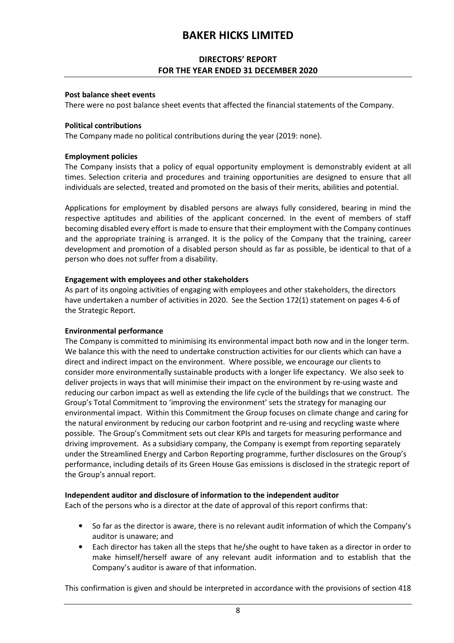## DIRECTORS' REPORT FOR THE YEAR ENDED 31 DECEMBER 2020

#### Post balance sheet events

There were no post balance sheet events that affected the financial statements of the Company.

#### Political contributions

The Company made no political contributions during the year (2019: none).

#### Employment policies

The Company insists that a policy of equal opportunity employment is demonstrably evident at all times. Selection criteria and procedures and training opportunities are designed to ensure that all individuals are selected, treated and promoted on the basis of their merits, abilities and potential.

Applications for employment by disabled persons are always fully considered, bearing in mind the respective aptitudes and abilities of the applicant concerned. In the event of members of staff becoming disabled every effort is made to ensure that their employment with the Company continues and the appropriate training is arranged. It is the policy of the Company that the training, career development and promotion of a disabled person should as far as possible, be identical to that of a person who does not suffer from a disability.

#### Engagement with employees and other stakeholders

As part of its ongoing activities of engaging with employees and other stakeholders, the directors have undertaken a number of activities in 2020. See the Section 172(1) statement on pages 4-6 of the Strategic Report.

### Environmental performance

The Company is committed to minimising its environmental impact both now and in the longer term. We balance this with the need to undertake construction activities for our clients which can have a direct and indirect impact on the environment. Where possible, we encourage our clients to consider more environmentally sustainable products with a longer life expectancy. We also seek to deliver projects in ways that will minimise their impact on the environment by re-using waste and reducing our carbon impact as well as extending the life cycle of the buildings that we construct. The Group's Total Commitment to 'improving the environment' sets the strategy for managing our environmental impact. Within this Commitment the Group focuses on climate change and caring for the natural environment by reducing our carbon footprint and re-using and recycling waste where possible. The Group's Commitment sets out clear KPIs and targets for measuring performance and driving improvement. As a subsidiary company, the Company is exempt from reporting separately under the Streamlined Energy and Carbon Reporting programme, further disclosures on the Group's performance, including details of its Green House Gas emissions is disclosed in the strategic report of the Group's annual report.

### Independent auditor and disclosure of information to the independent auditor

Each of the persons who is a director at the date of approval of this report confirms that:

- So far as the director is aware, there is no relevant audit information of which the Company's auditor is unaware; and
- Each director has taken all the steps that he/she ought to have taken as a director in order to make himself/herself aware of any relevant audit information and to establish that the Company's auditor is aware of that information.

This confirmation is given and should be interpreted in accordance with the provisions of section 418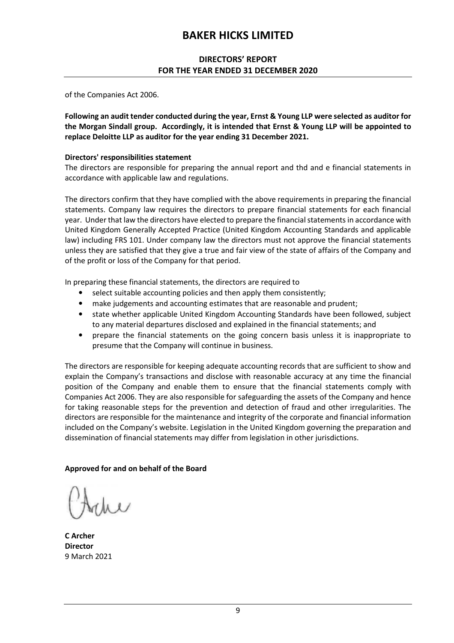### DIRECTORS' REPORT FOR THE YEAR ENDED 31 DECEMBER 2020

of the Companies Act 2006.

Following an audit tender conducted during the year, Ernst & Young LLP were selected as auditor for the Morgan Sindall group. Accordingly, it is intended that Ernst & Young LLP will be appointed to replace Deloitte LLP as auditor for the year ending 31 December 2021.

#### Directors' responsibilities statement

The directors are responsible for preparing the annual report and thd and e financial statements in accordance with applicable law and regulations.

The directors confirm that they have complied with the above requirements in preparing the financial statements. Company law requires the directors to prepare financial statements for each financial year. Under that law the directors have elected to prepare the financial statements in accordance with United Kingdom Generally Accepted Practice (United Kingdom Accounting Standards and applicable law) including FRS 101. Under company law the directors must not approve the financial statements unless they are satisfied that they give a true and fair view of the state of affairs of the Company and of the profit or loss of the Company for that period.

In preparing these financial statements, the directors are required to

- select suitable accounting policies and then apply them consistently;
- make judgements and accounting estimates that are reasonable and prudent;
- state whether applicable United Kingdom Accounting Standards have been followed, subject to any material departures disclosed and explained in the financial statements; and
- prepare the financial statements on the going concern basis unless it is inappropriate to presume that the Company will continue in business.

The directors are responsible for keeping adequate accounting records that are sufficient to show and explain the Company's transactions and disclose with reasonable accuracy at any time the financial position of the Company and enable them to ensure that the financial statements comply with Companies Act 2006. They are also responsible for safeguarding the assets of the Company and hence for taking reasonable steps for the prevention and detection of fraud and other irregularities. The directors are responsible for the maintenance and integrity of the corporate and financial information included on the Company's website. Legislation in the United Kingdom governing the preparation and dissemination of financial statements may differ from legislation in other jurisdictions.

#### Approved for and on behalf of the Board

C Archer **Director** 9 March 2021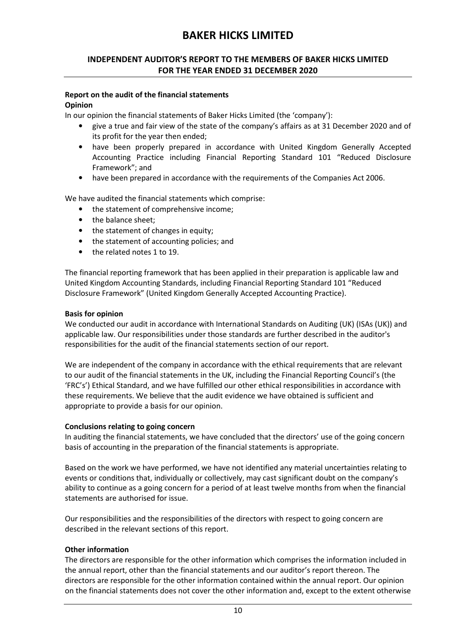### INDEPENDENT AUDITOR'S REPORT TO THE MEMBERS OF BAKER HICKS LIMITED FOR THE YEAR ENDED 31 DECEMBER 2020

# Report on the audit of the financial statements

## Opinion

In our opinion the financial statements of Baker Hicks Limited (the 'company'):

- give a true and fair view of the state of the company's affairs as at 31 December 2020 and of its profit for the year then ended;
- have been properly prepared in accordance with United Kingdom Generally Accepted Accounting Practice including Financial Reporting Standard 101 "Reduced Disclosure Framework"; and
- have been prepared in accordance with the requirements of the Companies Act 2006.

We have audited the financial statements which comprise:

- the statement of comprehensive income;
- the balance sheet;
- the statement of changes in equity;
- the statement of accounting policies; and
- the related notes 1 to 19.

The financial reporting framework that has been applied in their preparation is applicable law and United Kingdom Accounting Standards, including Financial Reporting Standard 101 "Reduced Disclosure Framework" (United Kingdom Generally Accepted Accounting Practice).

#### Basis for opinion

We conducted our audit in accordance with International Standards on Auditing (UK) (ISAs (UK)) and applicable law. Our responsibilities under those standards are further described in the auditor's responsibilities for the audit of the financial statements section of our report.

We are independent of the company in accordance with the ethical requirements that are relevant to our audit of the financial statements in the UK, including the Financial Reporting Council's (the 'FRC's') Ethical Standard, and we have fulfilled our other ethical responsibilities in accordance with these requirements. We believe that the audit evidence we have obtained is sufficient and appropriate to provide a basis for our opinion.

#### Conclusions relating to going concern

In auditing the financial statements, we have concluded that the directors' use of the going concern basis of accounting in the preparation of the financial statements is appropriate.

Based on the work we have performed, we have not identified any material uncertainties relating to events or conditions that, individually or collectively, may cast significant doubt on the company's ability to continue as a going concern for a period of at least twelve months from when the financial statements are authorised for issue.

Our responsibilities and the responsibilities of the directors with respect to going concern are described in the relevant sections of this report.

#### Other information

The directors are responsible for the other information which comprises the information included in the annual report, other than the financial statements and our auditor's report thereon. The directors are responsible for the other information contained within the annual report. Our opinion on the financial statements does not cover the other information and, except to the extent otherwise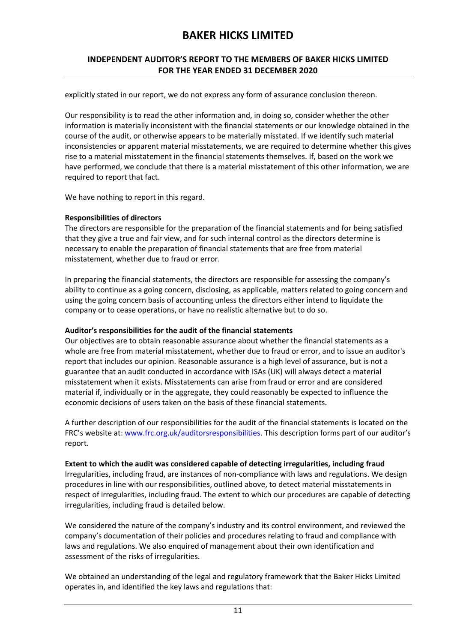## INDEPENDENT AUDITOR'S REPORT TO THE MEMBERS OF BAKER HICKS LIMITED FOR THE YEAR ENDED 31 DECEMBER 2020

explicitly stated in our report, we do not express any form of assurance conclusion thereon.

Our responsibility is to read the other information and, in doing so, consider whether the other information is materially inconsistent with the financial statements or our knowledge obtained in the course of the audit, or otherwise appears to be materially misstated. If we identify such material inconsistencies or apparent material misstatements, we are required to determine whether this gives rise to a material misstatement in the financial statements themselves. If, based on the work we have performed, we conclude that there is a material misstatement of this other information, we are required to report that fact.

We have nothing to report in this regard.

#### Responsibilities of directors

The directors are responsible for the preparation of the financial statements and for being satisfied that they give a true and fair view, and for such internal control as the directors determine is necessary to enable the preparation of financial statements that are free from material misstatement, whether due to fraud or error.

In preparing the financial statements, the directors are responsible for assessing the company's ability to continue as a going concern, disclosing, as applicable, matters related to going concern and using the going concern basis of accounting unless the directors either intend to liquidate the company or to cease operations, or have no realistic alternative but to do so.

### Auditor's responsibilities for the audit of the financial statements

Our objectives are to obtain reasonable assurance about whether the financial statements as a whole are free from material misstatement, whether due to fraud or error, and to issue an auditor's report that includes our opinion. Reasonable assurance is a high level of assurance, but is not a guarantee that an audit conducted in accordance with ISAs (UK) will always detect a material misstatement when it exists. Misstatements can arise from fraud or error and are considered material if, individually or in the aggregate, they could reasonably be expected to influence the economic decisions of users taken on the basis of these financial statements.

A further description of our responsibilities for the audit of the financial statements is located on the FRC's website at: www.frc.org.uk/auditorsresponsibilities. This description forms part of our auditor's report.

### Extent to which the audit was considered capable of detecting irregularities, including fraud

Irregularities, including fraud, are instances of non-compliance with laws and regulations. We design procedures in line with our responsibilities, outlined above, to detect material misstatements in respect of irregularities, including fraud. The extent to which our procedures are capable of detecting irregularities, including fraud is detailed below.

We considered the nature of the company's industry and its control environment, and reviewed the company's documentation of their policies and procedures relating to fraud and compliance with laws and regulations. We also enquired of management about their own identification and assessment of the risks of irregularities.

We obtained an understanding of the legal and regulatory framework that the Baker Hicks Limited operates in, and identified the key laws and regulations that: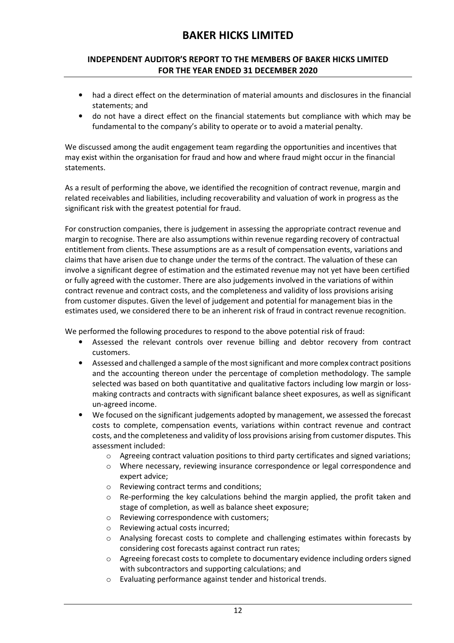## INDEPENDENT AUDITOR'S REPORT TO THE MEMBERS OF BAKER HICKS LIMITED FOR THE YEAR ENDED 31 DECEMBER 2020

- had a direct effect on the determination of material amounts and disclosures in the financial statements; and
- do not have a direct effect on the financial statements but compliance with which may be fundamental to the company's ability to operate or to avoid a material penalty.

We discussed among the audit engagement team regarding the opportunities and incentives that may exist within the organisation for fraud and how and where fraud might occur in the financial statements.

As a result of performing the above, we identified the recognition of contract revenue, margin and related receivables and liabilities, including recoverability and valuation of work in progress as the significant risk with the greatest potential for fraud.

For construction companies, there is judgement in assessing the appropriate contract revenue and margin to recognise. There are also assumptions within revenue regarding recovery of contractual entitlement from clients. These assumptions are as a result of compensation events, variations and claims that have arisen due to change under the terms of the contract. The valuation of these can involve a significant degree of estimation and the estimated revenue may not yet have been certified or fully agreed with the customer. There are also judgements involved in the variations of within contract revenue and contract costs, and the completeness and validity of loss provisions arising from customer disputes. Given the level of judgement and potential for management bias in the estimates used, we considered there to be an inherent risk of fraud in contract revenue recognition.

We performed the following procedures to respond to the above potential risk of fraud:

- Assessed the relevant controls over revenue billing and debtor recovery from contract customers.
- Assessed and challenged a sample of the most significant and more complex contract positions and the accounting thereon under the percentage of completion methodology. The sample selected was based on both quantitative and qualitative factors including low margin or lossmaking contracts and contracts with significant balance sheet exposures, as well as significant un-agreed income.
- We focused on the significant judgements adopted by management, we assessed the forecast costs to complete, compensation events, variations within contract revenue and contract costs, and the completeness and validity of loss provisions arising from customer disputes. This assessment included:
	- $\circ$  Agreeing contract valuation positions to third party certificates and signed variations;
	- o Where necessary, reviewing insurance correspondence or legal correspondence and expert advice;
	- o Reviewing contract terms and conditions;
	- $\circ$  Re-performing the key calculations behind the margin applied, the profit taken and stage of completion, as well as balance sheet exposure;
	- o Reviewing correspondence with customers;
	- o Reviewing actual costs incurred;
	- $\circ$  Analysing forecast costs to complete and challenging estimates within forecasts by considering cost forecasts against contract run rates;
	- o Agreeing forecast costs to complete to documentary evidence including orders signed with subcontractors and supporting calculations; and
	- o Evaluating performance against tender and historical trends.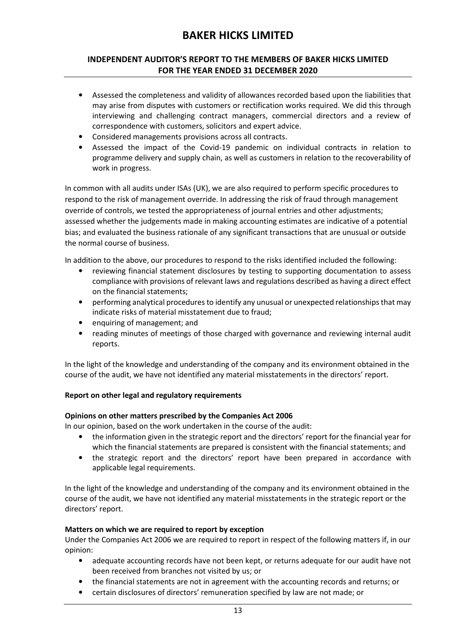## INDEPENDENT AUDITOR'S REPORT TO THE MEMBERS OF BAKER HICKS LIMITED FOR THE YEAR ENDED 31 DECEMBER 2020

- Assessed the completeness and validity of allowances recorded based upon the liabilities that may arise from disputes with customers or rectification works required. We did this through interviewing and challenging contract managers, commercial directors and a review of correspondence with customers, solicitors and expert advice.
- Considered managements provisions across all contracts.
- Assessed the impact of the Covid-19 pandemic on individual contracts in relation to programme delivery and supply chain, as well as customers in relation to the recoverability of work in progress.

In common with all audits under ISAs (UK), we are also required to perform specific procedures to respond to the risk of management override. In addressing the risk of fraud through management override of controls, we tested the appropriateness of journal entries and other adjustments; assessed whether the judgements made in making accounting estimates are indicative of a potential bias; and evaluated the business rationale of any significant transactions that are unusual or outside the normal course of business.

In addition to the above, our procedures to respond to the risks identified included the following:

- reviewing financial statement disclosures by testing to supporting documentation to assess compliance with provisions of relevant laws and regulations described as having a direct effect on the financial statements;
- performing analytical procedures to identify any unusual or unexpected relationships that may indicate risks of material misstatement due to fraud;
- enquiring of management; and
- reading minutes of meetings of those charged with governance and reviewing internal audit reports.

In the light of the knowledge and understanding of the company and its environment obtained in the course of the audit, we have not identified any material misstatements in the directors' report.

### Report on other legal and regulatory requirements

### Opinions on other matters prescribed by the Companies Act 2006

In our opinion, based on the work undertaken in the course of the audit:

- the information given in the strategic report and the directors' report for the financial year for which the financial statements are prepared is consistent with the financial statements; and
- the strategic report and the directors' report have been prepared in accordance with applicable legal requirements.

In the light of the knowledge and understanding of the company and its environment obtained in the course of the audit, we have not identified any material misstatements in the strategic report or the directors' report.

#### Matters on which we are required to report by exception

Under the Companies Act 2006 we are required to report in respect of the following matters if, in our opinion:

- adequate accounting records have not been kept, or returns adequate for our audit have not been received from branches not visited by us; or
- the financial statements are not in agreement with the accounting records and returns; or
- certain disclosures of directors' remuneration specified by law are not made; or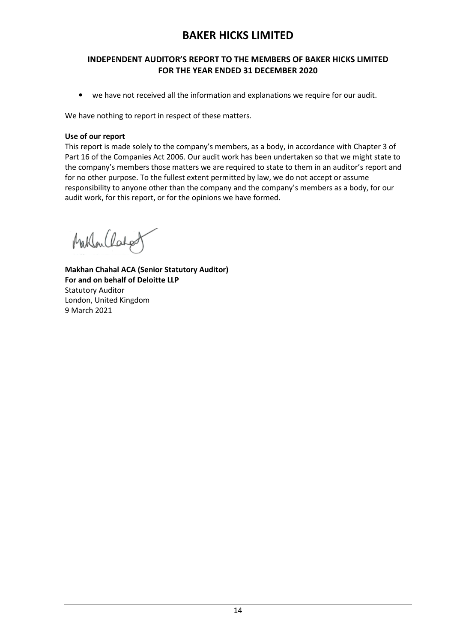## INDEPENDENT AUDITOR'S REPORT TO THE MEMBERS OF BAKER HICKS LIMITED FOR THE YEAR ENDED 31 DECEMBER 2020

• we have not received all the information and explanations we require for our audit.

We have nothing to report in respect of these matters.

### Use of our report

This report is made solely to the company's members, as a body, in accordance with Chapter 3 of Part 16 of the Companies Act 2006. Our audit work has been undertaken so that we might state to the company's members those matters we are required to state to them in an auditor's report and for no other purpose. To the fullest extent permitted by law, we do not accept or assume responsibility to anyone other than the company and the company's members as a body, for our audit work, for this report, or for the opinions we have formed.

Maklon Clared

Makhan Chahal ACA (Senior Statutory Auditor) For and on behalf of Deloitte LLP Statutory Auditor London, United Kingdom 9 March 2021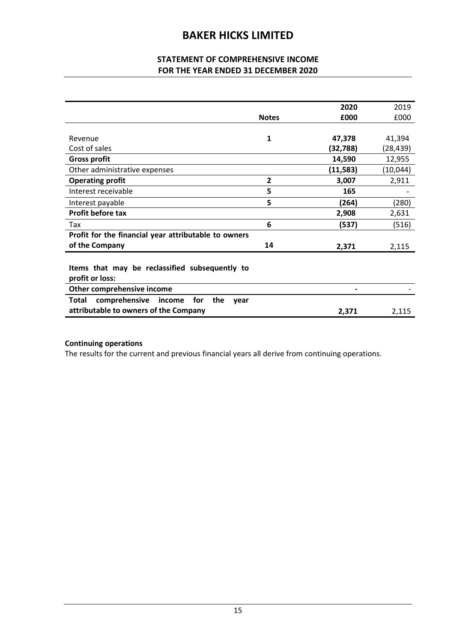## STATEMENT OF COMPREHENSIVE INCOME FOR THE YEAR ENDED 31 DECEMBER 2020

|                                                                   |              | 2020      | 2019      |
|-------------------------------------------------------------------|--------------|-----------|-----------|
|                                                                   | <b>Notes</b> | £000      | £000      |
|                                                                   |              |           |           |
| Revenue                                                           | 1            | 47,378    | 41,394    |
| Cost of sales                                                     |              | (32,788)  | (28,439)  |
| <b>Gross profit</b>                                               |              | 14,590    | 12,955    |
| Other administrative expenses                                     |              | (11, 583) | (10, 044) |
| <b>Operating profit</b>                                           | 2            | 3,007     | 2,911     |
| Interest receivable                                               | 5            | 165       |           |
| Interest payable                                                  | 5            | (264)     | (280)     |
| Profit before tax                                                 |              | 2,908     | 2,631     |
| Tax                                                               | 6            | (537)     | (516)     |
| Profit for the financial year attributable to owners              |              |           |           |
| of the Company                                                    | 14           | 2,371     | 2,115     |
| Items that may be reclassified subsequently to<br>profit or loss: |              |           |           |
| Other comprehensive income                                        |              |           |           |
| comprehensive<br>the<br>for<br>Total<br>income<br>year            |              |           |           |
| attributable to owners of the Company                             |              | 2,371     | 2,115     |

## Continuing operations

The results for the current and previous financial years all derive from continuing operations.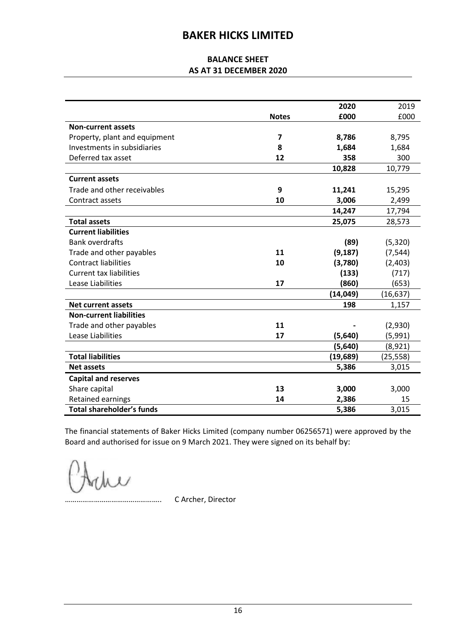## BALANCE SHEET AS AT 31 DECEMBER 2020

|                                  |                         | 2020      | 2019      |
|----------------------------------|-------------------------|-----------|-----------|
|                                  | <b>Notes</b>            | £000      | £000      |
| <b>Non-current assets</b>        |                         |           |           |
| Property, plant and equipment    | $\overline{\mathbf{z}}$ | 8,786     | 8,795     |
| Investments in subsidiaries      | 8                       | 1,684     | 1,684     |
| Deferred tax asset               | 12                      | 358       | 300       |
|                                  |                         | 10,828    | 10,779    |
| <b>Current assets</b>            |                         |           |           |
| Trade and other receivables      | 9                       | 11,241    | 15,295    |
| Contract assets                  | 10                      | 3,006     | 2,499     |
|                                  |                         | 14,247    | 17,794    |
| <b>Total assets</b>              |                         | 25,075    | 28,573    |
| <b>Current liabilities</b>       |                         |           |           |
| <b>Bank overdrafts</b>           |                         | (89)      | (5, 320)  |
| Trade and other payables         | 11                      | (9, 187)  | (7, 544)  |
| <b>Contract liabilities</b>      | 10                      | (3,780)   | (2,403)   |
| <b>Current tax liabilities</b>   |                         | (133)     | (717)     |
| Lease Liabilities                | 17                      | (860)     | (653)     |
|                                  |                         | (14, 049) | (16, 637) |
| <b>Net current assets</b>        |                         | 198       | 1,157     |
| <b>Non-current liabilities</b>   |                         |           |           |
| Trade and other payables         | 11                      |           | (2,930)   |
| Lease Liabilities                | 17                      | (5,640)   | (5,991)   |
|                                  |                         | (5,640)   | (8,921)   |
| <b>Total liabilities</b>         |                         | (19, 689) | (25, 558) |
| <b>Net assets</b>                |                         | 5,386     | 3,015     |
| <b>Capital and reserves</b>      |                         |           |           |
| Share capital                    | 13                      | 3,000     | 3,000     |
| Retained earnings                | 14                      | 2,386     | 15        |
| <b>Total shareholder's funds</b> |                         | 5,386     | 3,015     |

The financial statements of Baker Hicks Limited (company number 06256571) were approved by the Board and authorised for issue on 9 March 2021. They were signed on its behalf by:

ahe

………………………………………….. C Archer, Director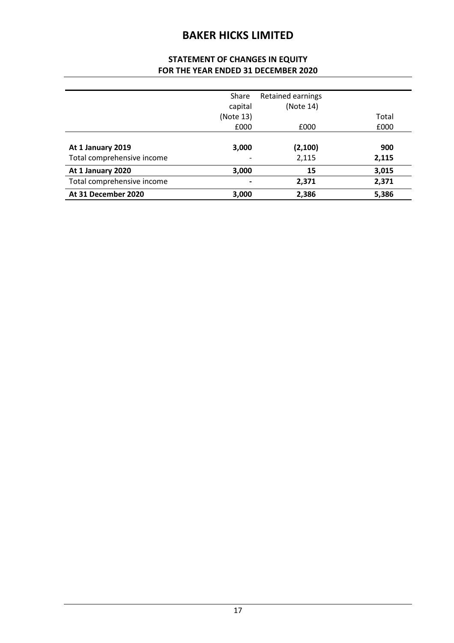## STATEMENT OF CHANGES IN EQUITY FOR THE YEAR ENDED 31 DECEMBER 2020

|                            | Share                        | Retained earnings |       |
|----------------------------|------------------------------|-------------------|-------|
|                            | capital                      | (Note 14)         |       |
|                            | (Note 13)                    |                   | Total |
|                            | £000                         | £000              | £000  |
|                            |                              |                   |       |
| At 1 January 2019          | 3,000                        | (2, 100)          | 900   |
| Total comprehensive income |                              | 2,115             | 2,115 |
| At 1 January 2020          | 3,000                        | 15                | 3,015 |
| Total comprehensive income | $\qquad \qquad \blacksquare$ | 2,371             | 2,371 |
| At 31 December 2020        | 3,000                        | 2,386             | 5,386 |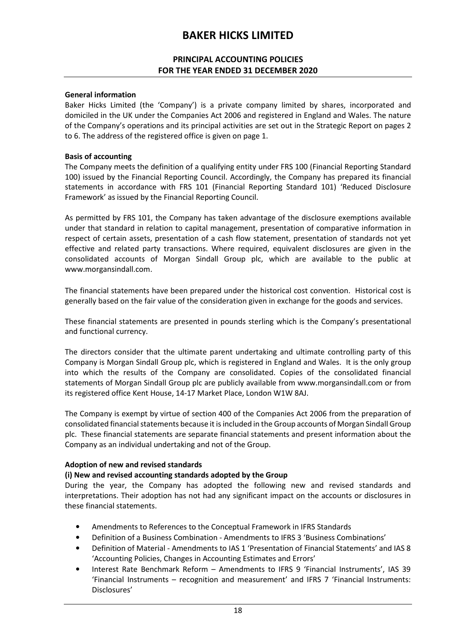### PRINCIPAL ACCOUNTING POLICIES FOR THE YEAR ENDED 31 DECEMBER 2020

#### General information

Baker Hicks Limited (the 'Company') is a private company limited by shares, incorporated and domiciled in the UK under the Companies Act 2006 and registered in England and Wales. The nature of the Company's operations and its principal activities are set out in the Strategic Report on pages 2 to 6. The address of the registered office is given on page 1.

#### Basis of accounting

The Company meets the definition of a qualifying entity under FRS 100 (Financial Reporting Standard 100) issued by the Financial Reporting Council. Accordingly, the Company has prepared its financial statements in accordance with FRS 101 (Financial Reporting Standard 101) 'Reduced Disclosure Framework' as issued by the Financial Reporting Council.

As permitted by FRS 101, the Company has taken advantage of the disclosure exemptions available under that standard in relation to capital management, presentation of comparative information in respect of certain assets, presentation of a cash flow statement, presentation of standards not yet effective and related party transactions. Where required, equivalent disclosures are given in the consolidated accounts of Morgan Sindall Group plc, which are available to the public at www.morgansindall.com.

The financial statements have been prepared under the historical cost convention. Historical cost is generally based on the fair value of the consideration given in exchange for the goods and services.

These financial statements are presented in pounds sterling which is the Company's presentational and functional currency.

The directors consider that the ultimate parent undertaking and ultimate controlling party of this Company is Morgan Sindall Group plc, which is registered in England and Wales. It is the only group into which the results of the Company are consolidated. Copies of the consolidated financial statements of Morgan Sindall Group plc are publicly available from www.morgansindall.com or from its registered office Kent House, 14-17 Market Place, London W1W 8AJ.

The Company is exempt by virtue of section 400 of the Companies Act 2006 from the preparation of consolidated financial statements because it is included in the Group accounts of Morgan Sindall Group plc. These financial statements are separate financial statements and present information about the Company as an individual undertaking and not of the Group.

#### Adoption of new and revised standards

### (i) New and revised accounting standards adopted by the Group

During the year, the Company has adopted the following new and revised standards and interpretations. Their adoption has not had any significant impact on the accounts or disclosures in these financial statements.

- Amendments to References to the Conceptual Framework in IFRS Standards
- Definition of a Business Combination Amendments to IFRS 3 'Business Combinations'
- Definition of Material Amendments to IAS 1 'Presentation of Financial Statements' and IAS 8 'Accounting Policies, Changes in Accounting Estimates and Errors'
- Interest Rate Benchmark Reform Amendments to IFRS 9 'Financial Instruments', IAS 39 'Financial Instruments – recognition and measurement' and IFRS 7 'Financial Instruments: Disclosures'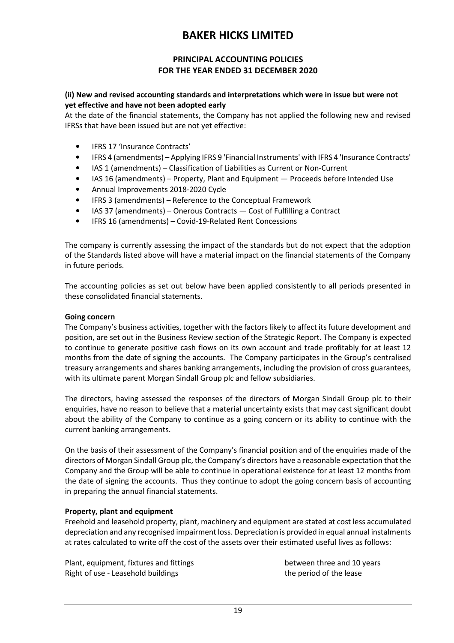## PRINCIPAL ACCOUNTING POLICIES FOR THE YEAR ENDED 31 DECEMBER 2020

### (ii) New and revised accounting standards and interpretations which were in issue but were not yet effective and have not been adopted early

At the date of the financial statements, the Company has not applied the following new and revised IFRSs that have been issued but are not yet effective:

- IFRS 17 'Insurance Contracts'
- IFRS 4 (amendments) Applying IFRS 9 'Financial Instruments' with IFRS 4 'Insurance Contracts'
- IAS 1 (amendments) Classification of Liabilities as Current or Non-Current
- IAS 16 (amendments) Property, Plant and Equipment Proceeds before Intended Use
- Annual Improvements 2018-2020 Cycle
- IFRS 3 (amendments) Reference to the Conceptual Framework
- IAS 37 (amendments) Onerous Contracts Cost of Fulfilling a Contract
- IFRS 16 (amendments) Covid-19-Related Rent Concessions

The company is currently assessing the impact of the standards but do not expect that the adoption of the Standards listed above will have a material impact on the financial statements of the Company in future periods.

The accounting policies as set out below have been applied consistently to all periods presented in these consolidated financial statements.

### Going concern

The Company's business activities, together with the factors likely to affect its future development and position, are set out in the Business Review section of the Strategic Report. The Company is expected to continue to generate positive cash flows on its own account and trade profitably for at least 12 months from the date of signing the accounts. The Company participates in the Group's centralised treasury arrangements and shares banking arrangements, including the provision of cross guarantees, with its ultimate parent Morgan Sindall Group plc and fellow subsidiaries.

The directors, having assessed the responses of the directors of Morgan Sindall Group plc to their enquiries, have no reason to believe that a material uncertainty exists that may cast significant doubt about the ability of the Company to continue as a going concern or its ability to continue with the current banking arrangements.

On the basis of their assessment of the Company's financial position and of the enquiries made of the directors of Morgan Sindall Group plc, the Company's directors have a reasonable expectation that the Company and the Group will be able to continue in operational existence for at least 12 months from the date of signing the accounts. Thus they continue to adopt the going concern basis of accounting in preparing the annual financial statements.

### Property, plant and equipment

Freehold and leasehold property, plant, machinery and equipment are stated at cost less accumulated depreciation and any recognised impairment loss. Depreciation is provided in equal annual instalments at rates calculated to write off the cost of the assets over their estimated useful lives as follows:

Plant, equipment, fixtures and fittings between three and 10 years Right of use - Leasehold buildings the period of the lease the period of the lease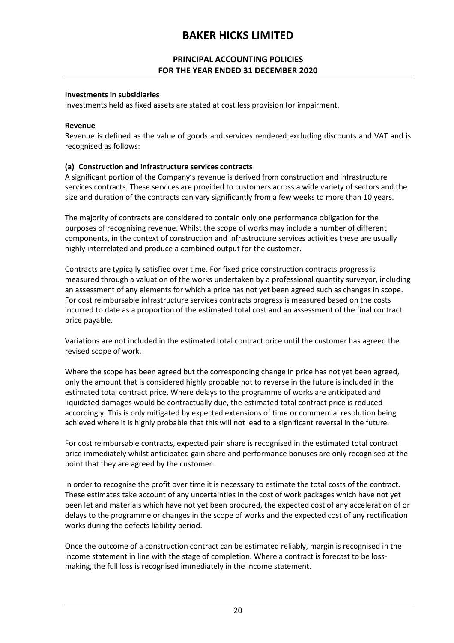## PRINCIPAL ACCOUNTING POLICIES FOR THE YEAR ENDED 31 DECEMBER 2020

#### Investments in subsidiaries

Investments held as fixed assets are stated at cost less provision for impairment.

#### Revenue

Revenue is defined as the value of goods and services rendered excluding discounts and VAT and is recognised as follows:

### (a) Construction and infrastructure services contracts

A significant portion of the Company's revenue is derived from construction and infrastructure services contracts. These services are provided to customers across a wide variety of sectors and the size and duration of the contracts can vary significantly from a few weeks to more than 10 years.

The majority of contracts are considered to contain only one performance obligation for the purposes of recognising revenue. Whilst the scope of works may include a number of different components, in the context of construction and infrastructure services activities these are usually highly interrelated and produce a combined output for the customer.

Contracts are typically satisfied over time. For fixed price construction contracts progress is measured through a valuation of the works undertaken by a professional quantity surveyor, including an assessment of any elements for which a price has not yet been agreed such as changes in scope. For cost reimbursable infrastructure services contracts progress is measured based on the costs incurred to date as a proportion of the estimated total cost and an assessment of the final contract price payable.

Variations are not included in the estimated total contract price until the customer has agreed the revised scope of work.

Where the scope has been agreed but the corresponding change in price has not yet been agreed, only the amount that is considered highly probable not to reverse in the future is included in the estimated total contract price. Where delays to the programme of works are anticipated and liquidated damages would be contractually due, the estimated total contract price is reduced accordingly. This is only mitigated by expected extensions of time or commercial resolution being achieved where it is highly probable that this will not lead to a significant reversal in the future.

For cost reimbursable contracts, expected pain share is recognised in the estimated total contract price immediately whilst anticipated gain share and performance bonuses are only recognised at the point that they are agreed by the customer.

In order to recognise the profit over time it is necessary to estimate the total costs of the contract. These estimates take account of any uncertainties in the cost of work packages which have not yet been let and materials which have not yet been procured, the expected cost of any acceleration of or delays to the programme or changes in the scope of works and the expected cost of any rectification works during the defects liability period.

Once the outcome of a construction contract can be estimated reliably, margin is recognised in the income statement in line with the stage of completion. Where a contract is forecast to be lossmaking, the full loss is recognised immediately in the income statement.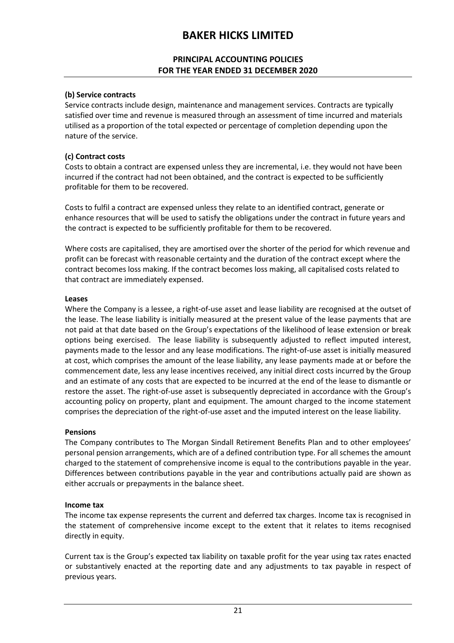## PRINCIPAL ACCOUNTING POLICIES FOR THE YEAR ENDED 31 DECEMBER 2020

### (b) Service contracts

Service contracts include design, maintenance and management services. Contracts are typically satisfied over time and revenue is measured through an assessment of time incurred and materials utilised as a proportion of the total expected or percentage of completion depending upon the nature of the service.

### (c) Contract costs

Costs to obtain a contract are expensed unless they are incremental, i.e. they would not have been incurred if the contract had not been obtained, and the contract is expected to be sufficiently profitable for them to be recovered.

Costs to fulfil a contract are expensed unless they relate to an identified contract, generate or enhance resources that will be used to satisfy the obligations under the contract in future years and the contract is expected to be sufficiently profitable for them to be recovered.

Where costs are capitalised, they are amortised over the shorter of the period for which revenue and profit can be forecast with reasonable certainty and the duration of the contract except where the contract becomes loss making. If the contract becomes loss making, all capitalised costs related to that contract are immediately expensed.

### Leases

Where the Company is a lessee, a right-of-use asset and lease liability are recognised at the outset of the lease. The lease liability is initially measured at the present value of the lease payments that are not paid at that date based on the Group's expectations of the likelihood of lease extension or break options being exercised. The lease liability is subsequently adjusted to reflect imputed interest, payments made to the lessor and any lease modifications. The right-of-use asset is initially measured at cost, which comprises the amount of the lease liability, any lease payments made at or before the commencement date, less any lease incentives received, any initial direct costs incurred by the Group and an estimate of any costs that are expected to be incurred at the end of the lease to dismantle or restore the asset. The right-of-use asset is subsequently depreciated in accordance with the Group's accounting policy on property, plant and equipment. The amount charged to the income statement comprises the depreciation of the right-of-use asset and the imputed interest on the lease liability.

### Pensions

The Company contributes to The Morgan Sindall Retirement Benefits Plan and to other employees' personal pension arrangements, which are of a defined contribution type. For all schemes the amount charged to the statement of comprehensive income is equal to the contributions payable in the year. Differences between contributions payable in the year and contributions actually paid are shown as either accruals or prepayments in the balance sheet.

### Income tax

The income tax expense represents the current and deferred tax charges. Income tax is recognised in the statement of comprehensive income except to the extent that it relates to items recognised directly in equity.

Current tax is the Group's expected tax liability on taxable profit for the year using tax rates enacted or substantively enacted at the reporting date and any adjustments to tax payable in respect of previous years.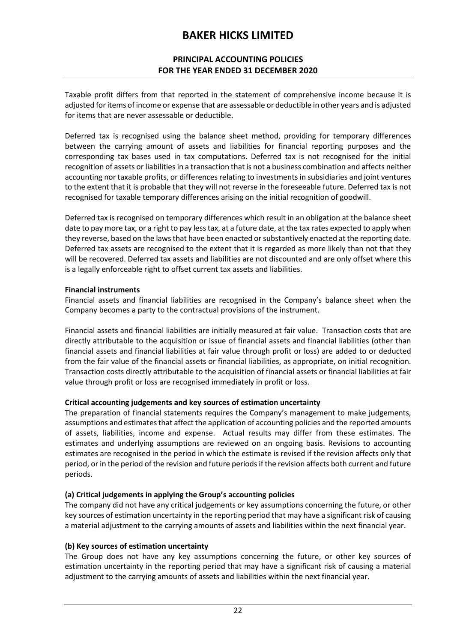## PRINCIPAL ACCOUNTING POLICIES FOR THE YEAR ENDED 31 DECEMBER 2020

Taxable profit differs from that reported in the statement of comprehensive income because it is adjusted for items of income or expense that are assessable or deductible in other years and is adjusted for items that are never assessable or deductible.

Deferred tax is recognised using the balance sheet method, providing for temporary differences between the carrying amount of assets and liabilities for financial reporting purposes and the corresponding tax bases used in tax computations. Deferred tax is not recognised for the initial recognition of assets or liabilities in a transaction that is not a business combination and affects neither accounting nor taxable profits, or differences relating to investments in subsidiaries and joint ventures to the extent that it is probable that they will not reverse in the foreseeable future. Deferred tax is not recognised for taxable temporary differences arising on the initial recognition of goodwill.

Deferred tax is recognised on temporary differences which result in an obligation at the balance sheet date to pay more tax, or a right to pay less tax, at a future date, at the tax rates expected to apply when they reverse, based on the laws that have been enacted or substantively enacted at the reporting date. Deferred tax assets are recognised to the extent that it is regarded as more likely than not that they will be recovered. Deferred tax assets and liabilities are not discounted and are only offset where this is a legally enforceable right to offset current tax assets and liabilities.

### Financial instruments

Financial assets and financial liabilities are recognised in the Company's balance sheet when the Company becomes a party to the contractual provisions of the instrument.

Financial assets and financial liabilities are initially measured at fair value. Transaction costs that are directly attributable to the acquisition or issue of financial assets and financial liabilities (other than financial assets and financial liabilities at fair value through profit or loss) are added to or deducted from the fair value of the financial assets or financial liabilities, as appropriate, on initial recognition. Transaction costs directly attributable to the acquisition of financial assets or financial liabilities at fair value through profit or loss are recognised immediately in profit or loss.

### Critical accounting judgements and key sources of estimation uncertainty

The preparation of financial statements requires the Company's management to make judgements, assumptions and estimates that affect the application of accounting policies and the reported amounts of assets, liabilities, income and expense. Actual results may differ from these estimates. The estimates and underlying assumptions are reviewed on an ongoing basis. Revisions to accounting estimates are recognised in the period in which the estimate is revised if the revision affects only that period, or in the period of the revision and future periods if the revision affects both current and future periods.

### (a) Critical judgements in applying the Group's accounting policies

The company did not have any critical judgements or key assumptions concerning the future, or other key sources of estimation uncertainty in the reporting period that may have a significant risk of causing a material adjustment to the carrying amounts of assets and liabilities within the next financial year.

### (b) Key sources of estimation uncertainty

The Group does not have any key assumptions concerning the future, or other key sources of estimation uncertainty in the reporting period that may have a significant risk of causing a material adjustment to the carrying amounts of assets and liabilities within the next financial year.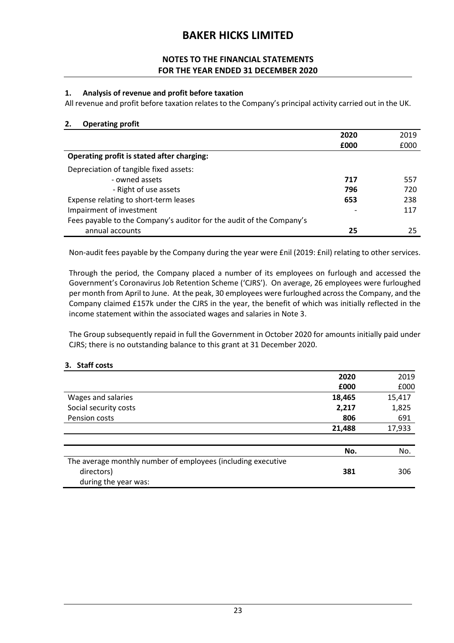## NOTES TO THE FINANCIAL STATEMENTS FOR THE YEAR ENDED 31 DECEMBER 2020

### 1. Analysis of revenue and profit before taxation

All revenue and profit before taxation relates to the Company's principal activity carried out in the UK.

#### 2. Operating profit

|                                                                      | 2020 | 2019 |
|----------------------------------------------------------------------|------|------|
|                                                                      | £000 | £000 |
| Operating profit is stated after charging:                           |      |      |
| Depreciation of tangible fixed assets:                               |      |      |
| - owned assets                                                       | 717  | 557  |
| - Right of use assets                                                | 796  | 720  |
| Expense relating to short-term leases                                | 653  | 238  |
| Impairment of investment                                             |      | 117  |
| Fees payable to the Company's auditor for the audit of the Company's |      |      |
| annual accounts                                                      | 25   | 25   |

Non-audit fees payable by the Company during the year were £nil (2019: £nil) relating to other services.

Through the period, the Company placed a number of its employees on furlough and accessed the Government's Coronavirus Job Retention Scheme ('CJRS'). On average, 26 employees were furloughed per month from April to June. At the peak, 30 employees were furloughed across the Company, and the Company claimed £157k under the CJRS in the year, the benefit of which was initially reflected in the income statement within the associated wages and salaries in Note 3.

The Group subsequently repaid in full the Government in October 2020 for amounts initially paid under CJRS; there is no outstanding balance to this grant at 31 December 2020.

### 3. Staff costs

|                                                              | 2020   | 2019   |
|--------------------------------------------------------------|--------|--------|
|                                                              | £000   | £000   |
| Wages and salaries                                           | 18,465 | 15,417 |
| Social security costs                                        | 2,217  | 1,825  |
| Pension costs                                                | 806    | 691    |
|                                                              | 21,488 | 17,933 |
|                                                              |        |        |
|                                                              | No.    | No.    |
| The average monthly number of employees (including executive |        |        |
| directors)                                                   | 381    | 306    |
| during the year was:                                         |        |        |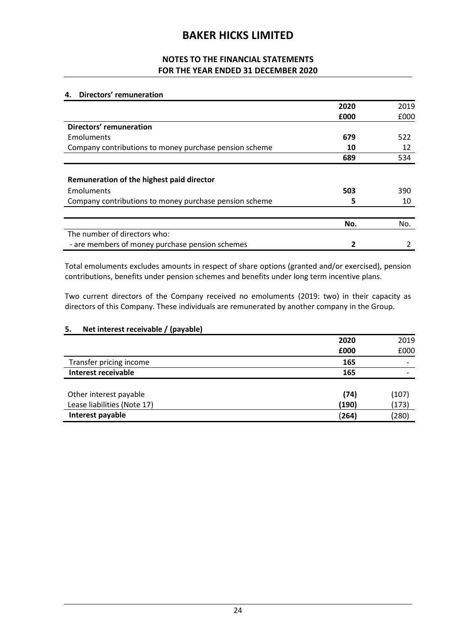## NOTES TO THE FINANCIAL STATEMENTS FOR THE YEAR ENDED 31 DECEMBER 2020

### 4. Directors' remuneration

|                                                                                                                   | 2020     | 2019      |
|-------------------------------------------------------------------------------------------------------------------|----------|-----------|
|                                                                                                                   | £000     | £000      |
| Directors' remuneration                                                                                           |          |           |
| Emoluments                                                                                                        | 679      | 522       |
| Company contributions to money purchase pension scheme                                                            | 10       | 12        |
|                                                                                                                   | 689      | 534       |
| Remuneration of the highest paid director<br>Emoluments<br>Company contributions to money purchase pension scheme | 503<br>5 | 390<br>10 |
|                                                                                                                   | No.      | No.       |
| The number of directors who:                                                                                      |          |           |
| - are members of money purchase pension schemes                                                                   | 2        |           |

Total emoluments excludes amounts in respect of share options (granted and/or exercised), pension contributions, benefits under pension schemes and benefits under long term incentive plans.

Two current directors of the Company received no emoluments (2019: two) in their capacity as directors of this Company. These individuals are remunerated by another company in the Group.

#### 5. Net interest receivable / (payable)

|                             | 2020  | 2019                     |
|-----------------------------|-------|--------------------------|
|                             | £000  | £000                     |
| Transfer pricing income     | 165   | $\overline{\phantom{0}}$ |
| Interest receivable         | 165   |                          |
|                             |       |                          |
| Other interest payable      | (74)  | (107)                    |
| Lease liabilities (Note 17) | (190) | (173)                    |
| Interest payable            | (264) | (280)                    |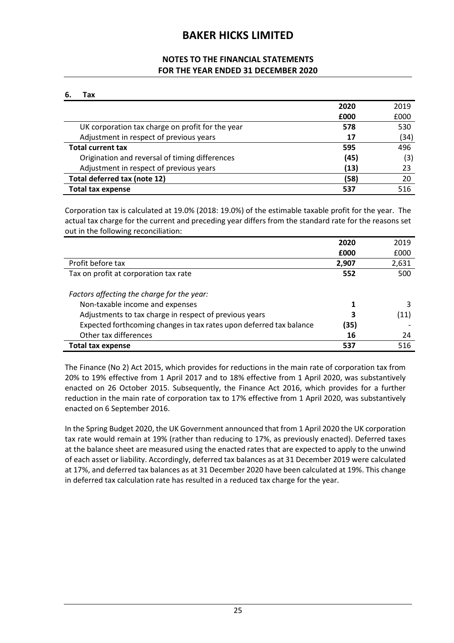### NOTES TO THE FINANCIAL STATEMENTS FOR THE YEAR ENDED 31 DECEMBER 2020

6. Tax

|                                                  | 2020 | 2019 |
|--------------------------------------------------|------|------|
|                                                  | £000 | £000 |
| UK corporation tax charge on profit for the year | 578  | 530  |
| Adjustment in respect of previous years          | 17   | (34) |
| <b>Total current tax</b>                         | 595  | 496  |
| Origination and reversal of timing differences   | (45) | (3)  |
| Adjustment in respect of previous years          | (13) | 23   |
| Total deferred tax (note 12)                     | (58) | 20   |
| Total tax expense                                | 537  | 516  |

Corporation tax is calculated at 19.0% (2018: 19.0%) of the estimable taxable profit for the year. The actual tax charge for the current and preceding year differs from the standard rate for the reasons set out in the following reconciliation:

|                                                                     | 2020  | 2019  |
|---------------------------------------------------------------------|-------|-------|
|                                                                     | £000  | £000  |
| Profit before tax                                                   | 2,907 | 2,631 |
| Tax on profit at corporation tax rate                               | 552   | 500   |
|                                                                     |       |       |
| Factors affecting the charge for the year:                          |       |       |
| Non-taxable income and expenses                                     |       |       |
| Adjustments to tax charge in respect of previous years              | 3     | (11)  |
| Expected forthcoming changes in tax rates upon deferred tax balance | (35)  |       |
| Other tax differences                                               | 16    | 24    |
| <b>Total tax expense</b>                                            | 537   | 516   |

The Finance (No 2) Act 2015, which provides for reductions in the main rate of corporation tax from 20% to 19% effective from 1 April 2017 and to 18% effective from 1 April 2020, was substantively enacted on 26 October 2015. Subsequently, the Finance Act 2016, which provides for a further reduction in the main rate of corporation tax to 17% effective from 1 April 2020, was substantively enacted on 6 September 2016.

In the Spring Budget 2020, the UK Government announced that from 1 April 2020 the UK corporation tax rate would remain at 19% (rather than reducing to 17%, as previously enacted). Deferred taxes at the balance sheet are measured using the enacted rates that are expected to apply to the unwind of each asset or liability. Accordingly, deferred tax balances as at 31 December 2019 were calculated at 17%, and deferred tax balances as at 31 December 2020 have been calculated at 19%. This change in deferred tax calculation rate has resulted in a reduced tax charge for the year.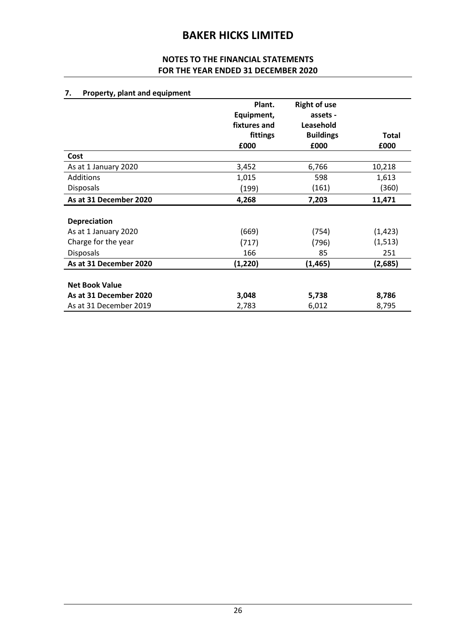## NOTES TO THE FINANCIAL STATEMENTS FOR THE YEAR ENDED 31 DECEMBER 2020

## 7. Property, plant and equipment

|                        | Plant.       | <b>Right of use</b> |              |
|------------------------|--------------|---------------------|--------------|
|                        | Equipment,   | assets -            |              |
|                        | fixtures and | Leasehold           |              |
|                        | fittings     | <b>Buildings</b>    | <b>Total</b> |
|                        | £000         | £000                | £000         |
| Cost                   |              |                     |              |
| As at 1 January 2020   | 3,452        | 6,766               | 10,218       |
| Additions              | 1,015        | 598                 | 1,613        |
| <b>Disposals</b>       | (199)        | (161)               | (360)        |
| As at 31 December 2020 | 4,268        | 7,203               | 11,471       |
|                        |              |                     |              |
| <b>Depreciation</b>    |              |                     |              |
| As at 1 January 2020   | (669)        | (754)               | (1, 423)     |
| Charge for the year    | (717)        | (796)               | (1, 513)     |
| <b>Disposals</b>       | 166          | 85                  | 251          |
| As at 31 December 2020 | (1, 220)     | (1, 465)            | (2,685)      |
|                        |              |                     |              |
| <b>Net Book Value</b>  |              |                     |              |
| As at 31 December 2020 | 3,048        | 5,738               | 8,786        |
| As at 31 December 2019 | 2,783        | 6,012               | 8,795        |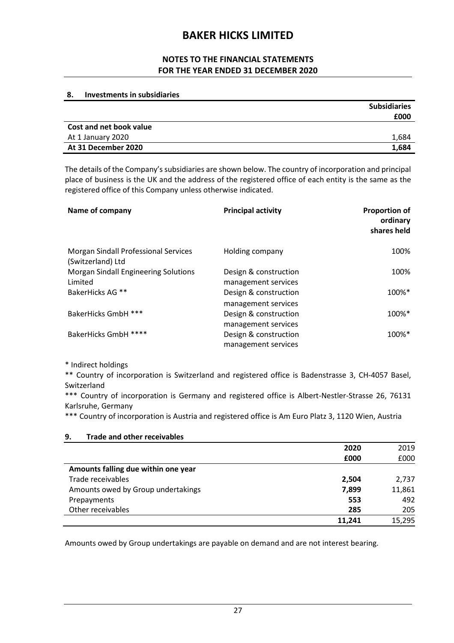## NOTES TO THE FINANCIAL STATEMENTS FOR THE YEAR ENDED 31 DECEMBER 2020

#### 8. Investments in subsidiaries

|                         | <b>Subsidiaries</b> |
|-------------------------|---------------------|
|                         | £000                |
| Cost and net book value |                     |
| At 1 January 2020       | 1,684               |
| At 31 December 2020     | 1,684               |

The details of the Company's subsidiaries are shown below. The country of incorporation and principal place of business is the UK and the address of the registered office of each entity is the same as the registered office of this Company unless otherwise indicated.

| Name of company                                                  | <b>Principal activity</b>                    | <b>Proportion of</b><br>ordinary<br>shares held |
|------------------------------------------------------------------|----------------------------------------------|-------------------------------------------------|
| <b>Morgan Sindall Professional Services</b><br>(Switzerland) Ltd | Holding company                              | 100%                                            |
| <b>Morgan Sindall Engineering Solutions</b><br>Limited           | Design & construction<br>management services | 100%                                            |
| BakerHicks AG <sup>**</sup>                                      | Design & construction<br>management services | 100%*                                           |
| BakerHicks GmbH ***                                              | Design & construction<br>management services | 100%*                                           |
| BakerHicks GmbH ****                                             | Design & construction<br>management services | 100%*                                           |

\* Indirect holdings

\*\* Country of incorporation is Switzerland and registered office is Badenstrasse 3, CH-4057 Basel, Switzerland

\*\*\* Country of incorporation is Germany and registered office is Albert-Nestler-Strasse 26, 76131 Karlsruhe, Germany

\*\*\* Country of incorporation is Austria and registered office is Am Euro Platz 3, 1120 Wien, Austria

|                                     | 2020   | 2019   |
|-------------------------------------|--------|--------|
|                                     | £000   | £000   |
| Amounts falling due within one year |        |        |
| Trade receivables                   | 2,504  | 2,737  |
| Amounts owed by Group undertakings  | 7,899  | 11,861 |
| Prepayments                         | 553    | 492    |
| Other receivables                   | 285    | 205    |
|                                     | 11.241 | 15,295 |

9. Trade and other receivables

Amounts owed by Group undertakings are payable on demand and are not interest bearing.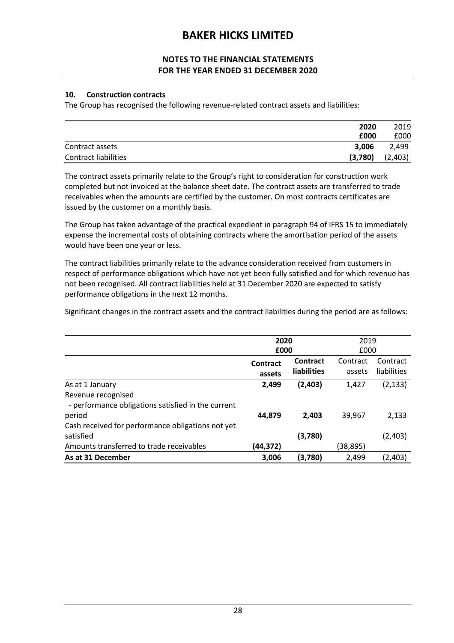### NOTES TO THE FINANCIAL STATEMENTS FOR THE YEAR ENDED 31 DECEMBER 2020

### 10. Construction contracts

The Group has recognised the following revenue-related contract assets and liabilities:

|                      | 2020    | 2019    |
|----------------------|---------|---------|
|                      | £000    | £000    |
| Contract assets      | 3.006   | 2,499   |
| Contract liabilities | (3,780) | (2,403) |

The contract assets primarily relate to the Group's right to consideration for construction work completed but not invoiced at the balance sheet date. The contract assets are transferred to trade receivables when the amounts are certified by the customer. On most contracts certificates are issued by the customer on a monthly basis.

The Group has taken advantage of the practical expedient in paragraph 94 of IFRS 15 to immediately expense the incremental costs of obtaining contracts where the amortisation period of the assets would have been one year or less.

The contract liabilities primarily relate to the advance consideration received from customers in respect of performance obligations which have not yet been fully satisfied and for which revenue has not been recognised. All contract liabilities held at 31 December 2020 are expected to satisfy performance obligations in the next 12 months.

Significant changes in the contract assets and the contract liabilities during the period are as follows:

|                                                                          | 2020     |                    | 2019     |             |
|--------------------------------------------------------------------------|----------|--------------------|----------|-------------|
|                                                                          | £000     |                    | £000     |             |
|                                                                          | Contract | <b>Contract</b>    | Contract | Contract    |
|                                                                          | assets   | <b>liabilities</b> | assets   | liabilities |
| As at 1 January                                                          | 2,499    | (2, 403)           | 1,427    | (2, 133)    |
| Revenue recognised<br>- performance obligations satisfied in the current |          |                    |          |             |
| period                                                                   | 44,879   | 2.403              | 39,967   | 2,133       |
| Cash received for performance obligations not yet<br>satisfied           |          | (3,780)            |          | (2,403)     |
| Amounts transferred to trade receivables                                 | (44,372) |                    | (38,895) |             |
| As at 31 December                                                        | 3,006    | (3,780)            | 2,499    | (2,403)     |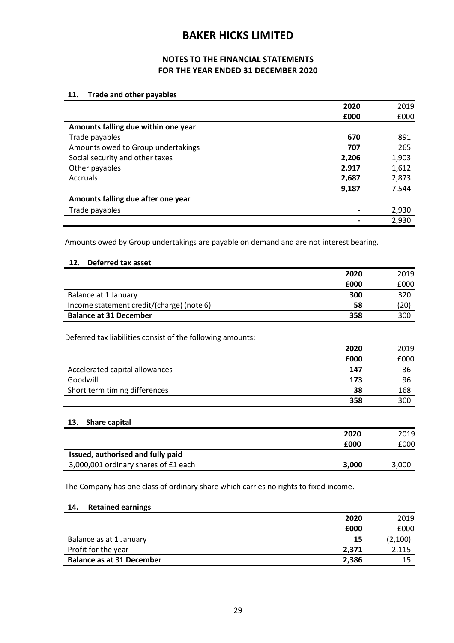## NOTES TO THE FINANCIAL STATEMENTS FOR THE YEAR ENDED 31 DECEMBER 2020

#### 11. Trade and other payables

|                                     | 2020  | 2019  |
|-------------------------------------|-------|-------|
|                                     | £000  | £000  |
| Amounts falling due within one year |       |       |
| Trade payables                      | 670   | 891   |
| Amounts owed to Group undertakings  | 707   | 265   |
| Social security and other taxes     | 2,206 | 1,903 |
| Other payables                      | 2,917 | 1,612 |
| Accruals                            | 2,687 | 2,873 |
|                                     | 9,187 | 7,544 |
| Amounts falling due after one year  |       |       |
| Trade payables                      |       | 2,930 |
|                                     |       | 2,930 |

Amounts owed by Group undertakings are payable on demand and are not interest bearing.

#### 12. Deferred tax asset

|                                           | 2020 | 2019 |
|-------------------------------------------|------|------|
|                                           | £000 | £000 |
| Balance at 1 January                      | 300  | 320  |
| Income statement credit/(charge) (note 6) | 58   | (20) |
| <b>Balance at 31 December</b>             | 358  | 300  |

### Deferred tax liabilities consist of the following amounts:

|                                | 2020 | 2019 |
|--------------------------------|------|------|
|                                | £000 | £000 |
| Accelerated capital allowances | 147  | 36   |
| Goodwill                       | 173  | 96   |
| Short term timing differences  | 38   | 168  |
|                                | 358  | 300  |

#### 13. Share capital

|                                      | 2020  | 2019  |
|--------------------------------------|-------|-------|
|                                      | £000  | £000  |
| Issued, authorised and fully paid    |       |       |
| 3,000,001 ordinary shares of £1 each | 3.000 | 3,000 |

The Company has one class of ordinary share which carries no rights to fixed income.

#### 14. Retained earnings

|                                  | 2020  | 2019     |
|----------------------------------|-------|----------|
|                                  | £000  | £000     |
| Balance as at 1 January          | 15    | (2, 100) |
| Profit for the year              | 2.371 | 2,115    |
| <b>Balance as at 31 December</b> | 2,386 | 15       |